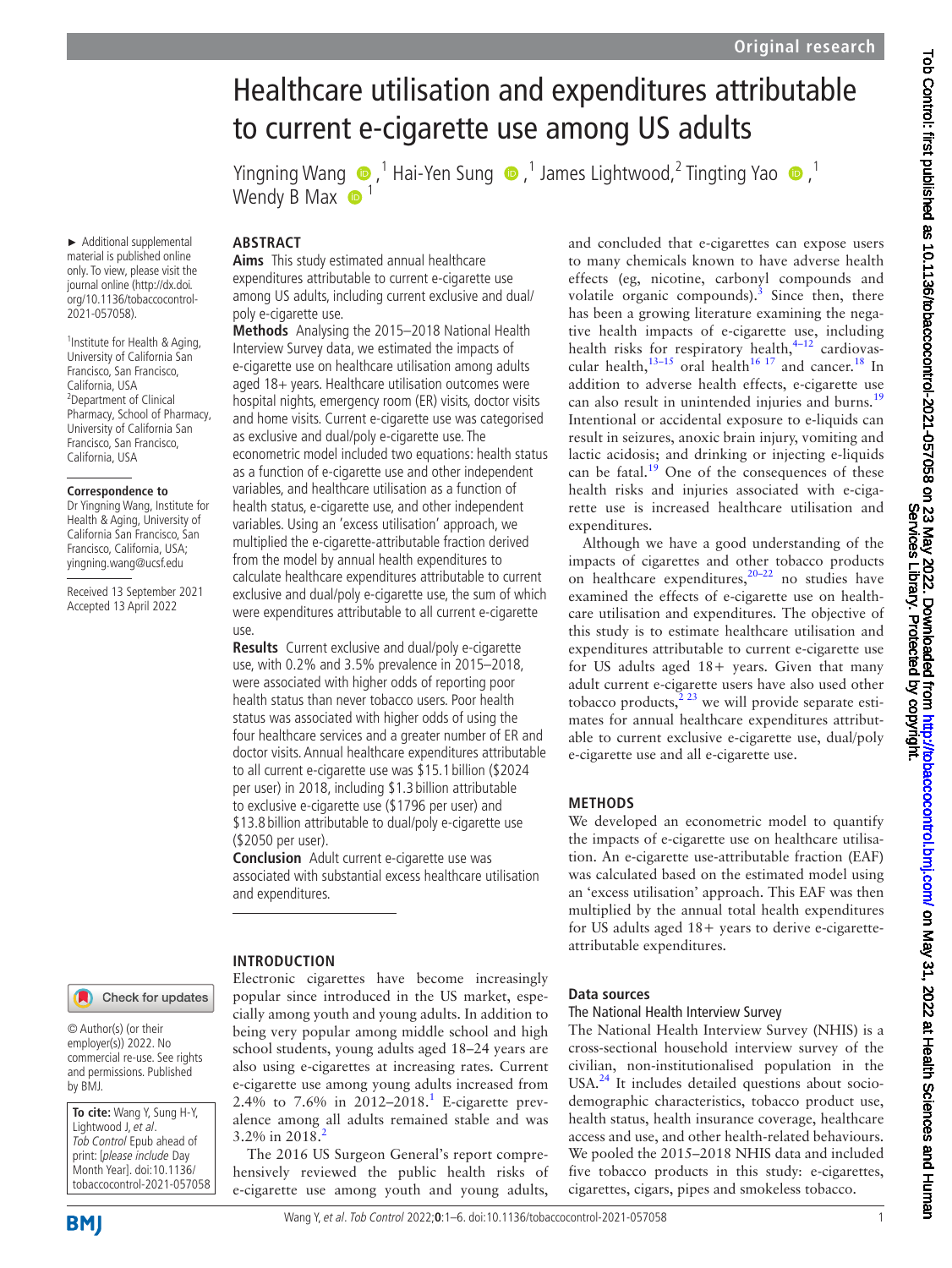# Healthcare utilisation and expenditures attributable to current e-cigarette use among US adults

Wendy B Max **1** 

YingningWang  $\bigcirc$ , <sup>1</sup> Hai-Yen Sung  $\bigcirc$ , <sup>1</sup> James Lightwood, <sup>2</sup> Tingting Yao  $\bigcirc$ , <sup>1</sup>

#### **ABSTRACT**

► Additional supplemental material is published online only. To view, please visit the journal online ([http://dx.doi.](http://dx.doi.org/10.1136/tobaccocontrol-2021-057058) [org/10.1136/tobaccocontrol-](http://dx.doi.org/10.1136/tobaccocontrol-2021-057058)

<sup>1</sup>Institute for Health & Aging, University of California San Francisco, San Francisco, California, USA <sup>2</sup>Department of Clinical Pharmacy, School of Pharmacy, University of California San Francisco, San Francisco, California, USA

**Correspondence to** Dr Yingning Wang, Institute for Health & Aging, University of California San Francisco, San Francisco, California, USA; yingning.wang@ucsf.edu Received 13 September 2021 Accepted 13 April 2022

[2021-057058\)](http://dx.doi.org/10.1136/tobaccocontrol-2021-057058).

**Aims** This study estimated annual healthcare expenditures attributable to current e-cigarette use among US adults, including current exclusive and dual/ poly e-cigarette use.

**Methods** Analysing the 2015–2018 National Health Interview Survey data, we estimated the impacts of e-cigarette use on healthcare utilisation among adults aged 18+ years. Healthcare utilisation outcomes were hospital nights, emergency room (ER) visits, doctor visits and home visits. Current e-cigarette use was categorised as exclusive and dual/poly e-cigarette use. The econometric model included two equations: health status as a function of e-cigarette use and other independent variables, and healthcare utilisation as a function of health status, e-cigarette use, and other independent variables. Using an 'excess utilisation' approach, we multiplied the e-cigarette-attributable fraction derived from the model by annual health expenditures to calculate healthcare expenditures attributable to current exclusive and dual/poly e-cigarette use, the sum of which were expenditures attributable to all current e-cigarette use.

**Results** Current exclusive and dual/poly e-cigarette use, with 0.2% and 3.5% prevalence in 2015–2018, were associated with higher odds of reporting poor health status than never tobacco users. Poor health status was associated with higher odds of using the four healthcare services and a greater number of ER and doctor visits. Annual healthcare expenditures attributable to all current e-cigarette use was \$15.1 billion (\$2024 per user) in 2018, including \$1.3 billion attributable to exclusive e-cigarette use (\$1796 per user) and \$13.8 billion attributable to dual/poly e-cigarette use (\$2050 per user).

**Conclusion** Adult current e-cigarette use was associated with substantial excess healthcare utilisation and expenditures.

Electronic cigarettes have become increasingly popular since introduced in the US market, especially among youth and young adults. In addition to being very popular among middle school and high school students, young adults aged 18–24 years are also using e-cigarettes at increasing rates. Current e-cigarette use among young adults increased from 2.4% to 7.6% in  $2012 - 2018$  $2012 - 2018$  $2012 - 2018$ .<sup>1</sup> E-cigarette prevalence among all adults remained stable and was

The 2016 US Surgeon General's report comprehensively reviewed the public health risks of e-cigarette use among youth and young adults,

**INTRODUCTION**

 $3.2\%$  $3.2\%$  $3.2\%$  in 2018.<sup>2</sup>

## Check for updates

© Author(s) (or their employer(s)) 2022. No commercial re-use. See rights and permissions. Published by BMJ.

**To cite:** Wang Y, Sung H-Y, Lightwood J, et al. Tob Control Epub ahead of print: [please include Day Month Year]. doi:10.1136/ tobaccocontrol-2021-057058 and concluded that e-cigarettes can expose users to many chemicals known to have adverse health effects (eg, nicotine, carbonyl compounds and volatile organic compounds). $3$  Since then, there has been a growing literature examining the negative health impacts of e-cigarette use, including health risks for respiratory health, $4-12$  cardiovascular health, $13-15$  oral health $16$  17 and cancer.<sup>[18](#page-5-6)</sup> In addition to adverse health effects, e-cigarette use can also result in unintended injuries and burns.<sup>[19](#page-5-7)</sup> Intentional or accidental exposure to e-liquids can result in seizures, anoxic brain injury, vomiting and lactic acidosis; and drinking or injecting e-liquids can be fatal. $1<sup>9</sup>$  One of the consequences of these health risks and injuries associated with e-cigarette use is increased healthcare utilisation and expenditures.

Although we have a good understanding of the impacts of cigarettes and other tobacco products on healthcare expenditures,  $20-22$  no studies have examined the effects of e-cigarette use on healthcare utilisation and expenditures. The objective of this study is to estimate healthcare utilisation and expenditures attributable to current e-cigarette use for US adults aged 18+ years. Given that many adult current e-cigarette users have also used other tobacco products, $2^{23}$  we will provide separate estimates for annual healthcare expenditures attributable to current exclusive e-cigarette use, dual/poly e-cigarette use and all e-cigarette use.

#### **METHODS**

We developed an econometric model to quantify the impacts of e-cigarette use on healthcare utilisation. An e-cigarette use-attributable fraction (EAF) was calculated based on the estimated model using an 'excess utilisation' approach. This EAF was then multiplied by the annual total health expenditures for US adults aged 18+ years to derive e-cigaretteattributable expenditures.

#### **Data sources**

#### The National Health Interview Survey

The National Health Interview Survey (NHIS) is a cross-sectional household interview survey of the civilian, non-institutionalised population in the USA.<sup>24</sup> It includes detailed questions about sociodemographic characteristics, tobacco product use, health status, health insurance coverage, healthcare access and use, and other health-related behaviours. We pooled the 2015–2018 NHIS data and included five tobacco products in this study: e-cigarettes, cigarettes, cigars, pipes and smokeless tobacco.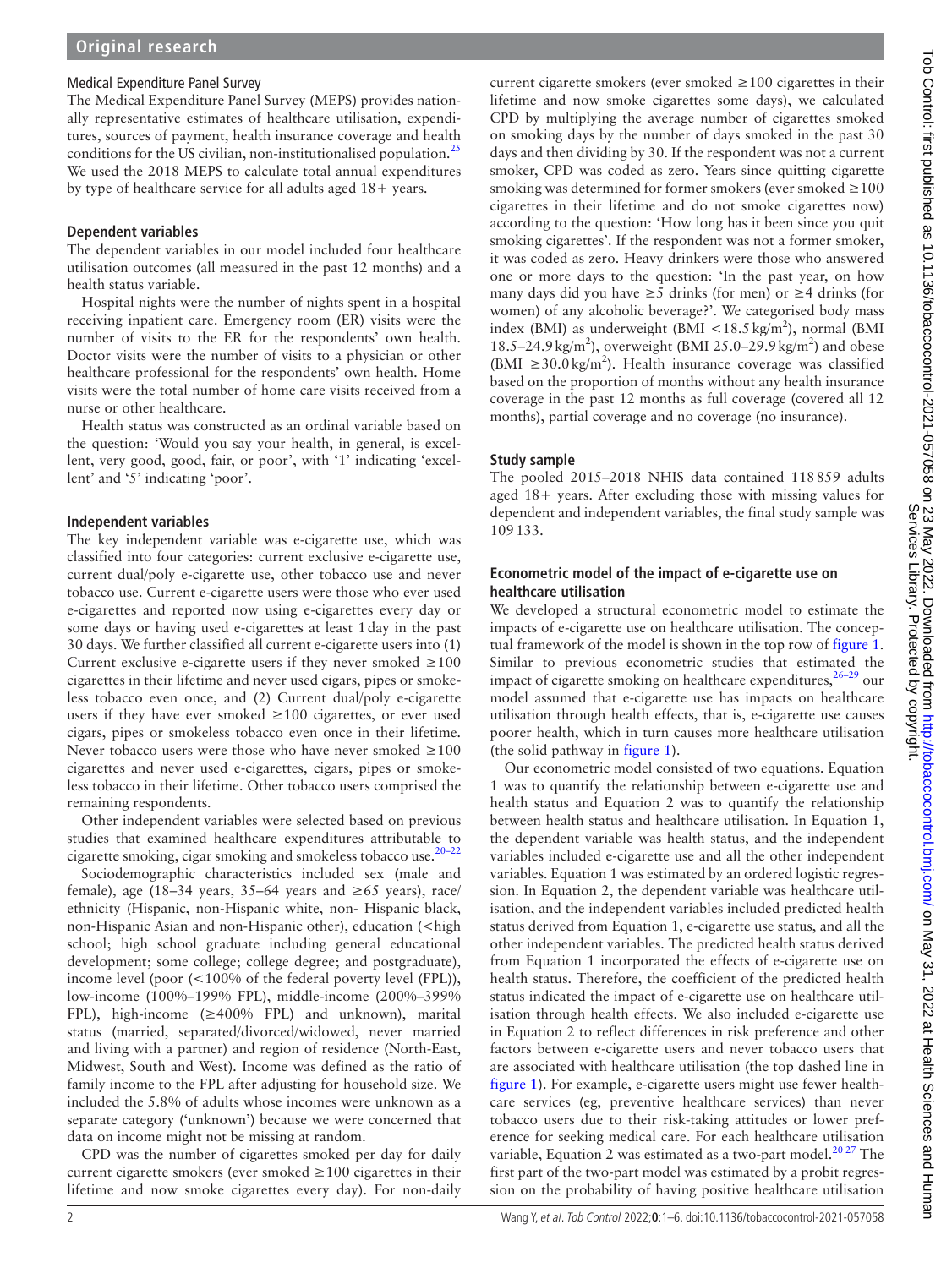#### Medical Expenditure Panel Survey

The Medical Expenditure Panel Survey (MEPS) provides nationally representative estimates of healthcare utilisation, expenditures, sources of payment, health insurance coverage and health conditions for the US civilian, non-institutionalised population.<sup>[25](#page-5-10)</sup> We used the 2018 MEPS to calculate total annual expenditures by type of healthcare service for all adults aged 18+ years.

#### **Dependent variables**

The dependent variables in our model included four healthcare utilisation outcomes (all measured in the past 12 months) and a health status variable.

Hospital nights were the number of nights spent in a hospital receiving inpatient care. Emergency room (ER) visits were the number of visits to the ER for the respondents' own health. Doctor visits were the number of visits to a physician or other healthcare professional for the respondents' own health. Home visits were the total number of home care visits received from a nurse or other healthcare.

Health status was constructed as an ordinal variable based on the question: 'Would you say your health, in general, is excellent, very good, good, fair, or poor', with '1' indicating 'excellent' and '5' indicating 'poor'.

#### **Independent variables**

The key independent variable was e-cigarette use, which was classified into four categories: current exclusive e-cigarette use, current dual/poly e-cigarette use, other tobacco use and never tobacco use. Current e-cigarette users were those who ever used e-cigarettes and reported now using e-cigarettes every day or some days or having used e-cigarettes at least 1day in the past 30 days. We further classified all current e-cigarette users into (1) Current exclusive e-cigarette users if they never smoked  $\geq 100$ cigarettes in their lifetime and never used cigars, pipes or smokeless tobacco even once, and (2) Current dual/poly e-cigarette users if they have ever smoked  $\geq 100$  cigarettes, or ever used cigars, pipes or smokeless tobacco even once in their lifetime. Never tobacco users were those who have never smoked  $\geq 100$ cigarettes and never used e-cigarettes, cigars, pipes or smokeless tobacco in their lifetime. Other tobacco users comprised the remaining respondents.

Other independent variables were selected based on previous studies that examined healthcare expenditures attributable to cigarette smoking, cigar smoking and smokeless tobacco use[.20–22](#page-5-8)

Sociodemographic characteristics included sex (male and female), age (18–34 years, 35–64 years and ≥65 years), race/ ethnicity (Hispanic, non-Hispanic white, non- Hispanic black, non-Hispanic Asian and non-Hispanic other), education (<high school; high school graduate including general educational development; some college; college degree; and postgraduate), income level (poor (<100% of the federal poverty level (FPL)), low-income (100%–199% FPL), middle-income (200%–399% FPL), high-income (≥400% FPL) and unknown), marital status (married, separated/divorced/widowed, never married and living with a partner) and region of residence (North-East, Midwest, South and West). Income was defined as the ratio of family income to the FPL after adjusting for household size. We included the 5.8% of adults whose incomes were unknown as a separate category ('unknown') because we were concerned that data on income might not be missing at random.

CPD was the number of cigarettes smoked per day for daily current cigarette smokers (ever smoked ≥100 cigarettes in their lifetime and now smoke cigarettes every day). For non-daily

current cigarette smokers (ever smoked  $\geq 100$  cigarettes in their lifetime and now smoke cigarettes some days), we calculated CPD by multiplying the average number of cigarettes smoked on smoking days by the number of days smoked in the past 30 days and then dividing by 30. If the respondent was not a current smoker, CPD was coded as zero. Years since quitting cigarette smoking was determined for former smokers (ever smoked  $\geq 100$ cigarettes in their lifetime and do not smoke cigarettes now) according to the question: 'How long has it been since you quit smoking cigarettes'. If the respondent was not a former smoker, it was coded as zero. Heavy drinkers were those who answered one or more days to the question: 'In the past year, on how many days did you have ≥5 drinks (for men) or ≥4 drinks (for women) of any alcoholic beverage?'. We categorised body mass index (BMI) as underweight (BMI  $\langle 18.5 \text{ kg/m}^2 \rangle$ , normal (BMI 18.5–24.9 kg/m<sup>2</sup>), overweight (BMI 25.0–29.9 kg/m<sup>2</sup>) and obese (BMI  $\geq 30.0 \text{ kg/m}^2$ ). Health insurance coverage was classified based on the proportion of months without any health insurance coverage in the past 12 months as full coverage (covered all 12 months), partial coverage and no coverage (no insurance).

## **Study sample**

The pooled 2015–2018 NHIS data contained 118859 adults aged 18+ years. After excluding those with missing values for dependent and independent variables, the final study sample was 109133.

#### **Econometric model of the impact of e-cigarette use on healthcare utilisation**

We developed a structural econometric model to estimate the impacts of e-cigarette use on healthcare utilisation. The conceptual framework of the model is shown in the top row of [figure](#page-2-0) 1. Similar to previous econometric studies that estimated the impact of cigarette smoking on healthcare expenditures,  $26-29$  our model assumed that e-cigarette use has impacts on healthcare utilisation through health effects, that is, e-cigarette use causes poorer health, which in turn causes more healthcare utilisation (the solid pathway in [figure](#page-2-0) 1).

Our econometric model consisted of two equations. Equation 1 was to quantify the relationship between e-cigarette use and health status and Equation 2 was to quantify the relationship between health status and healthcare utilisation. In Equation 1, the dependent variable was health status, and the independent variables included e-cigarette use and all the other independent variables. Equation 1 was estimated by an ordered logistic regression. In Equation 2, the dependent variable was healthcare utilisation, and the independent variables included predicted health status derived from Equation 1, e-cigarette use status, and all the other independent variables. The predicted health status derived from Equation 1 incorporated the effects of e-cigarette use on health status. Therefore, the coefficient of the predicted health status indicated the impact of e-cigarette use on healthcare utilisation through health effects. We also included e-cigarette use in Equation 2 to reflect differences in risk preference and other factors between e-cigarette users and never tobacco users that are associated with healthcare utilisation (the top dashed line in [figure](#page-2-0) 1). For example, e-cigarette users might use fewer healthcare services (eg, preventive healthcare services) than never tobacco users due to their risk-taking attitudes or lower preference for seeking medical care. For each healthcare utilisation variable, Equation 2 was estimated as a two-part model.<sup>20 27</sup> The first part of the two-part model was estimated by a probit regression on the probability of having positive healthcare utilisation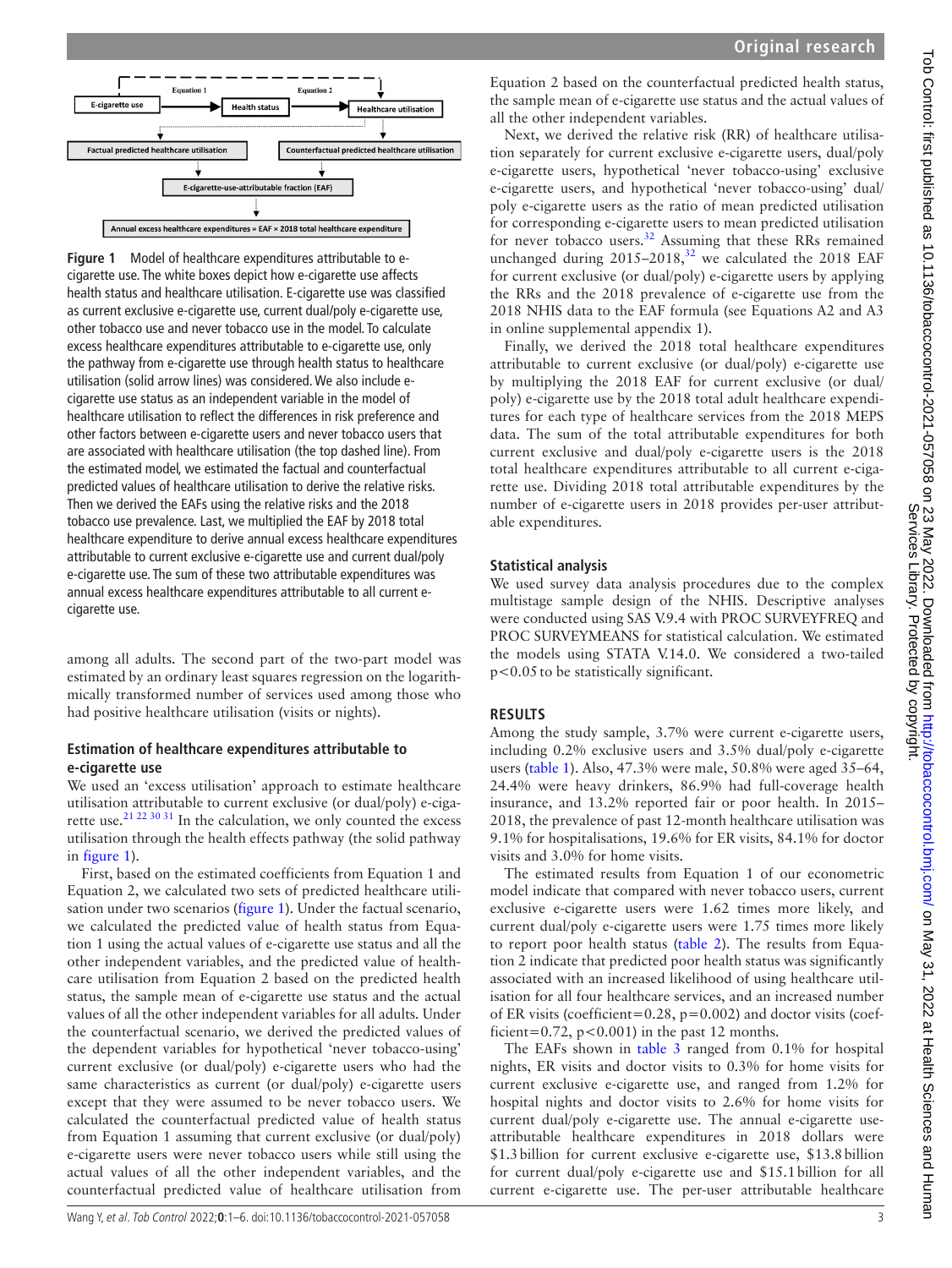

<span id="page-2-0"></span>**Figure 1** Model of healthcare expenditures attributable to ecigarette use. The white boxes depict how e-cigarette use affects health status and healthcare utilisation. E-cigarette use was classified as current exclusive e-cigarette use, current dual/poly e-cigarette use, other tobacco use and never tobacco use in the model. To calculate excess healthcare expenditures attributable to e-cigarette use, only the pathway from e-cigarette use through health status to healthcare utilisation (solid arrow lines) was considered. We also include ecigarette use status as an independent variable in the model of healthcare utilisation to reflect the differences in risk preference and other factors between e-cigarette users and never tobacco users that are associated with healthcare utilisation (the top dashed line). From the estimated model, we estimated the factual and counterfactual predicted values of healthcare utilisation to derive the relative risks. Then we derived the EAFs using the relative risks and the 2018 tobacco use prevalence. Last, we multiplied the EAF by 2018 total healthcare expenditure to derive annual excess healthcare expenditures attributable to current exclusive e-cigarette use and current dual/poly e-cigarette use. The sum of these two attributable expenditures was annual excess healthcare expenditures attributable to all current ecigarette use.

among all adults. The second part of the two-part model was estimated by an ordinary least squares regression on the logarithmically transformed number of services used among those who had positive healthcare utilisation (visits or nights).

#### **Estimation of healthcare expenditures attributable to e-cigarette use**

We used an 'excess utilisation' approach to estimate healthcare utilisation attributable to current exclusive (or dual/poly) e-cigarette use.<sup>21 22 30 31</sup> In the calculation, we only counted the excess utilisation through the health effects pathway (the solid pathway in [figure](#page-2-0) 1).

First, based on the estimated coefficients from Equation 1 and Equation 2, we calculated two sets of predicted healthcare utilisation under two scenarios ([figure](#page-2-0) 1). Under the factual scenario, we calculated the predicted value of health status from Equation 1 using the actual values of e-cigarette use status and all the other independent variables, and the predicted value of healthcare utilisation from Equation 2 based on the predicted health status, the sample mean of e-cigarette use status and the actual values of all the other independent variables for all adults. Under the counterfactual scenario, we derived the predicted values of the dependent variables for hypothetical 'never tobacco-using' current exclusive (or dual/poly) e-cigarette users who had the same characteristics as current (or dual/poly) e-cigarette users except that they were assumed to be never tobacco users. We calculated the counterfactual predicted value of health status from Equation 1 assuming that current exclusive (or dual/poly) e-cigarette users were never tobacco users while still using the actual values of all the other independent variables, and the counterfactual predicted value of healthcare utilisation from

Equation 2 based on the counterfactual predicted health status, the sample mean of e-cigarette use status and the actual values of all the other independent variables.

Next, we derived the relative risk (RR) of healthcare utilisation separately for current exclusive e-cigarette users, dual/poly e-cigarette users, hypothetical 'never tobacco-using' exclusive e-cigarette users, and hypothetical 'never tobacco-using' dual/ poly e-cigarette users as the ratio of mean predicted utilisation for corresponding e-cigarette users to mean predicted utilisation for never tobacco users. $32$  Assuming that these RRs remained unchanged during  $2015-2018$ ,<sup>[32](#page-5-13)</sup> we calculated the 2018 EAF for current exclusive (or dual/poly) e-cigarette users by applying the RRs and the 2018 prevalence of e-cigarette use from the 2018 NHIS data to the EAF formula (see Equations A2 and A3 in [online supplemental appendix 1](https://dx.doi.org/10.1136/tobaccocontrol-2021-057058)).

Finally, we derived the 2018 total healthcare expenditures attributable to current exclusive (or dual/poly) e-cigarette use by multiplying the 2018 EAF for current exclusive (or dual/ poly) e-cigarette use by the 2018 total adult healthcare expenditures for each type of healthcare services from the 2018 MEPS data. The sum of the total attributable expenditures for both current exclusive and dual/poly e-cigarette users is the 2018 total healthcare expenditures attributable to all current e-cigarette use. Dividing 2018 total attributable expenditures by the number of e-cigarette users in 2018 provides per-user attributable expenditures.

#### **Statistical analysis**

We used survey data analysis procedures due to the complex multistage sample design of the NHIS. Descriptive analyses were conducted using SAS V.9.4 with PROC SURVEYFREQ and PROC SURVEYMEANS for statistical calculation. We estimated the models using STATA V.14.0. We considered a two-tailed p<0.05to be statistically significant.

#### **RESULTS**

Among the study sample, 3.7% were current e-cigarette users, including 0.2% exclusive users and 3.5% dual/poly e-cigarette users [\(table](#page-3-0) 1). Also, 47.3% were male, 50.8% were aged 35–64, 24.4% were heavy drinkers, 86.9% had full-coverage health insurance, and 13.2% reported fair or poor health. In 2015– 2018, the prevalence of past 12-month healthcare utilisation was 9.1% for hospitalisations, 19.6% for ER visits, 84.1% for doctor visits and 3.0% for home visits.

The estimated results from Equation 1 of our econometric model indicate that compared with never tobacco users, current exclusive e-cigarette users were 1.62 times more likely, and current dual/poly e-cigarette users were 1.75 times more likely to report poor health status [\(table](#page-3-1) 2). The results from Equation 2 indicate that predicted poor health status was significantly associated with an increased likelihood of using healthcare utilisation for all four healthcare services, and an increased number of ER visits (coefficient=0.28, p=0.002) and doctor visits (coefficient=0.72,  $p < 0.001$ ) in the past 12 months.

The EAFs shown in [table](#page-4-0) 3 ranged from 0.1% for hospital nights, ER visits and doctor visits to 0.3% for home visits for current exclusive e-cigarette use, and ranged from 1.2% for hospital nights and doctor visits to 2.6% for home visits for current dual/poly e-cigarette use. The annual e-cigarette useattributable healthcare expenditures in 2018 dollars were \$1.3billion for current exclusive e-cigarette use, \$13.8billion for current dual/poly e-cigarette use and \$15.1billion for all current e-cigarette use. The per-user attributable healthcare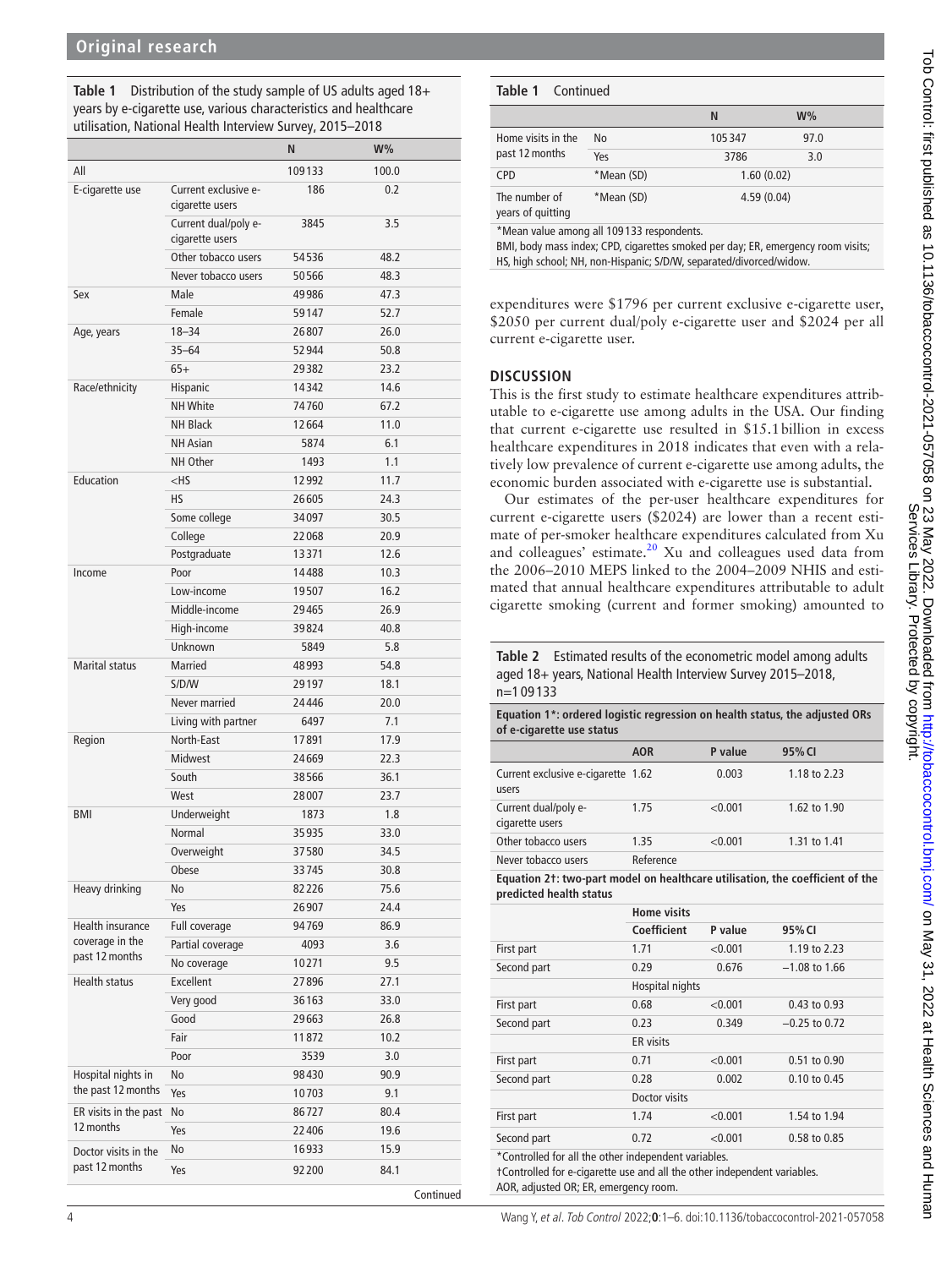<span id="page-3-0"></span>**Table 1** Distribution of the study sample of US adults aged 18+ years by e-cigarette use, various characteristics and healthcare utilisation, National Health Interview Survey, 2015–2018

|                       |                                         | N      | $W\%$ |  |
|-----------------------|-----------------------------------------|--------|-------|--|
| All                   |                                         | 109133 | 100.0 |  |
| E-cigarette use       | Current exclusive e-<br>cigarette users | 186    | 0.2   |  |
|                       | Current dual/poly e-<br>cigarette users | 3845   | 3.5   |  |
|                       | Other tobacco users                     | 54536  | 48.2  |  |
|                       | Never tobacco users                     | 50566  | 48.3  |  |
| Sex                   | Male                                    | 49986  | 47.3  |  |
|                       | Female                                  | 59147  | 52.7  |  |
| Age, years            | $18 - 34$                               | 26807  | 26.0  |  |
|                       | $35 - 64$                               | 52944  | 50.8  |  |
|                       | $65+$                                   | 29382  | 23.2  |  |
| Race/ethnicity        | Hispanic                                | 14342  | 14.6  |  |
|                       | <b>NH White</b>                         | 74760  | 67.2  |  |
|                       | NH Black                                | 12664  | 11.0  |  |
|                       | <b>NH</b> Asian                         | 5874   | 6.1   |  |
|                       | NH Other                                | 1493   | 1.1   |  |
| Education             | $<$ HS                                  | 12992  | 11.7  |  |
|                       | <b>HS</b>                               | 26605  | 24.3  |  |
|                       | Some college                            | 34097  | 30.5  |  |
|                       | College                                 | 22068  | 20.9  |  |
|                       | Postgraduate                            | 13371  | 12.6  |  |
| Income                | Poor                                    | 14488  | 10.3  |  |
|                       | Low-income                              | 19507  | 16.2  |  |
|                       | Middle-income                           | 29465  | 26.9  |  |
|                       | High-income                             | 39824  | 40.8  |  |
|                       | Unknown                                 | 5849   | 5.8   |  |
| <b>Marital status</b> | Married                                 | 48993  | 54.8  |  |
|                       | S/D/W                                   | 29197  | 18.1  |  |
|                       | Never married                           | 24446  | 20.0  |  |
|                       | Living with partner                     | 6497   | 7.1   |  |
| Region                | North-East                              | 17891  | 17.9  |  |
|                       | <b>Midwest</b>                          | 24669  | 22.3  |  |
|                       | South                                   | 38566  | 36.1  |  |
|                       | West                                    | 28007  | 23.7  |  |
| BMI                   | Underweight                             | 1873   | 1.8   |  |
|                       | Normal                                  | 35935  | 33.0  |  |
|                       | Overweight                              | 37580  | 34.5  |  |
|                       | <b>Obese</b>                            | 33745  | 30.8  |  |
| Heavy drinking        | No                                      | 82226  | 75.6  |  |
|                       | Yes                                     | 26907  | 24.4  |  |
| Health insurance      | Full coverage                           | 94769  | 86.9  |  |
| coverage in the       | Partial coverage                        | 4093   | 3.6   |  |
| past 12 months        | No coverage                             | 10271  | 9.5   |  |
| <b>Health status</b>  | Excellent                               | 27896  | 27.1  |  |
|                       | Very good                               | 36163  | 33.0  |  |
|                       | Good                                    | 29663  | 26.8  |  |
|                       | Fair                                    | 11872  | 10.2  |  |
|                       | Poor                                    | 3539   | 3.0   |  |
| Hospital nights in    | No                                      | 98430  | 90.9  |  |
| the past 12 months    | Yes                                     | 10703  | 9.1   |  |
| ER visits in the past | No                                      | 86727  | 80.4  |  |
| 12 months             | Yes                                     | 22406  | 19.6  |  |
| Doctor visits in the  | No                                      | 16933  | 15.9  |  |
| past 12 months        | Yes                                     | 92200  | 84.1  |  |
|                       |                                         |        |       |  |

#### **Table 1** Continued

|                                      |            | N          | $W\%$ |  |
|--------------------------------------|------------|------------|-------|--|
| Home visits in the<br>past 12 months | <b>No</b>  | 105347     | 97.0  |  |
|                                      | Yes        | 3786       | 3.0   |  |
| <b>CPD</b>                           | *Mean (SD) | 1.60(0.02) |       |  |
| The number of<br>years of quitting   | *Mean (SD) | 4.59(0.04) |       |  |

\*Mean value among all 109 133 respondents.

BMI, body mass index; CPD, cigarettes smoked per day; ER, emergency room visits; HS, high school; NH, non-Hispanic; S/D/W, separated/divorced/widow.

expenditures were \$1796 per current exclusive e-cigarette user, \$2050 per current dual/poly e-cigarette user and \$2024 per all current e-cigarette user.

#### **DISCUSSION**

This is the first study to estimate healthcare expenditures attributable to e-cigarette use among adults in the USA. Our finding that current e-cigarette use resulted in \$15.1billion in excess healthcare expenditures in 2018 indicates that even with a relatively low prevalence of current e-cigarette use among adults, the economic burden associated with e-cigarette use is substantial.

Our estimates of the per-user healthcare expenditures for current e-cigarette users (\$2024) are lower than a recent estimate of per-smoker healthcare expenditures calculated from Xu and colleagues' estimate.<sup>[20](#page-5-8)</sup> Xu and colleagues used data from the 2006–2010 MEPS linked to the 2004–2009 NHIS and estimated that annual healthcare expenditures attributable to adult cigarette smoking (current and former smoking) amounted to

<span id="page-3-1"></span>**Table 2** Estimated results of the econometric model among adults aged 18+ years, National Health Interview Survey 2015–2018, n=1 09 133

| Equation 1*: ordered logistic regression on health status, the adjusted ORs<br>of e-cigarette use status |                    |         |                 |  |  |
|----------------------------------------------------------------------------------------------------------|--------------------|---------|-----------------|--|--|
|                                                                                                          | <b>AOR</b>         | P value | 95% CI          |  |  |
| Current exclusive e-cigarette 1.62<br>users                                                              |                    | 0.003   | 1.18 to 2.23    |  |  |
| Current dual/poly e-<br>cigarette users                                                                  | 1.75               | < 0.001 | 1.62 to 1.90    |  |  |
| Other tobacco users                                                                                      | 1.35               | < 0.001 | 1.31 to 1.41    |  |  |
| Never tobacco users                                                                                      | Reference          |         |                 |  |  |
| Equation 21: two-part model on healthcare utilisation, the coefficient of the<br>predicted health status |                    |         |                 |  |  |
|                                                                                                          | <b>Home visits</b> |         |                 |  |  |
|                                                                                                          | Coefficient        | P value | 95% CI          |  |  |
| First part                                                                                               | 1.71               | < 0.001 | 1.19 to 2.23    |  |  |
| Second part                                                                                              | 0.29               | 0.676   | $-1.08$ to 1.66 |  |  |

| First part                                                                                                                       | 1.71             | < 0.001 | 1.19 to 2.23     |  |  |
|----------------------------------------------------------------------------------------------------------------------------------|------------------|---------|------------------|--|--|
| Second part                                                                                                                      | 0.29             | 0.676   | $-1.08$ to 1.66  |  |  |
|                                                                                                                                  | Hospital nights  |         |                  |  |  |
| First part                                                                                                                       | 0.68             | < 0.001 | 0.43 to 0.93     |  |  |
| Second part                                                                                                                      | 0.23             | 0.349   | $-0.25$ to 0.72  |  |  |
|                                                                                                                                  | <b>ER</b> visits |         |                  |  |  |
| First part                                                                                                                       | 0.71             | < 0.001 | $0.51$ to $0.90$ |  |  |
| Second part                                                                                                                      | 0.28             | 0.002   | 0.10 to 0.45     |  |  |
|                                                                                                                                  | Doctor visits    |         |                  |  |  |
| First part                                                                                                                       | 1.74             | < 0.001 | 1.54 to 1.94     |  |  |
| Second part                                                                                                                      | 0.72             | < 0.001 | 0.58 to 0.85     |  |  |
| *Controlled for all the other independent variables.<br>t Controlled for e-cineratte use and all the other independent variables |                  |         |                  |  |  |

†Controlled for e-cigarette use and all the other independent variables. AOR, adjusted OR; ER, emergency room.

Continued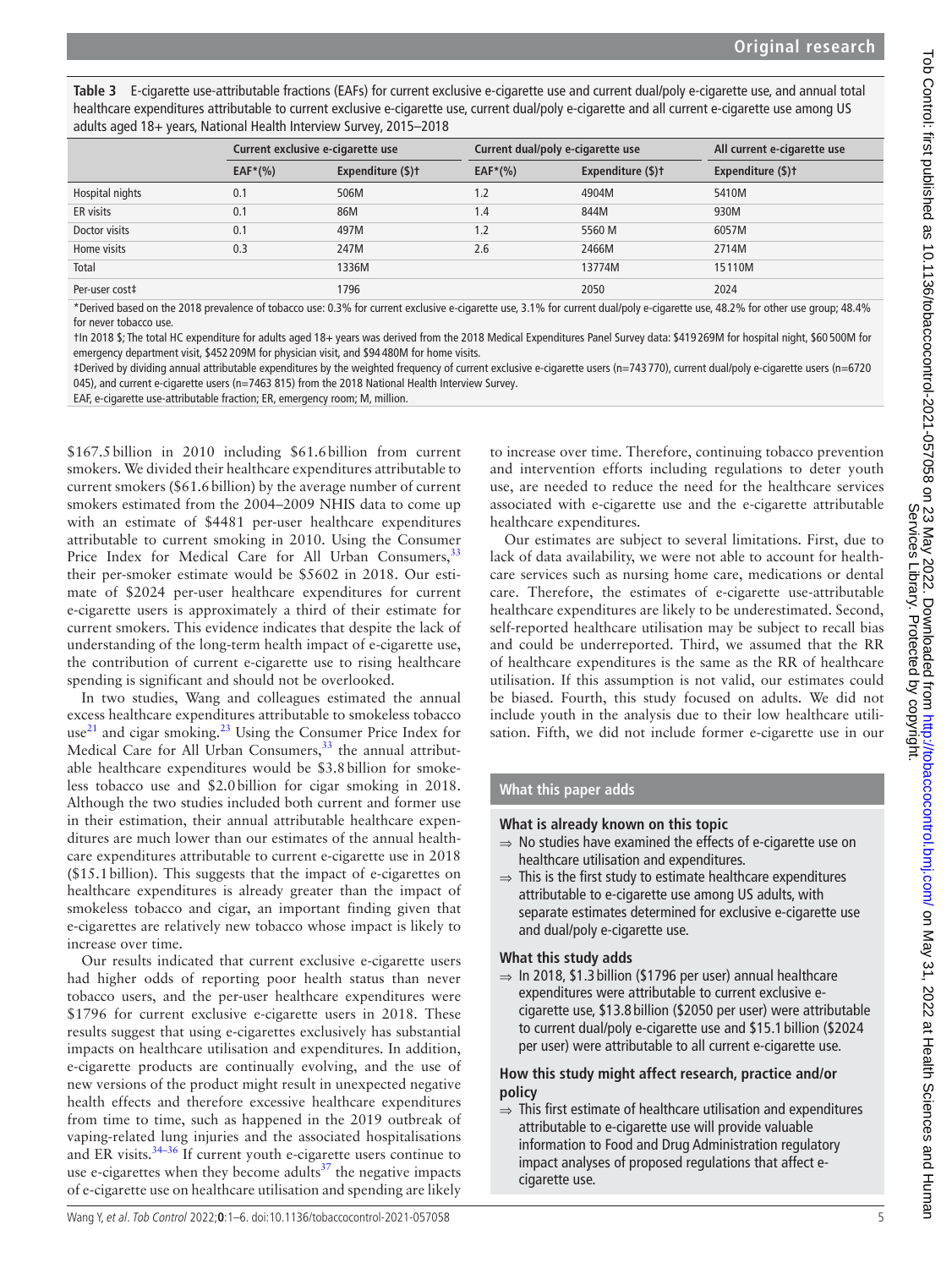<span id="page-4-0"></span>**Table 3** E-cigarette use-attributable fractions (EAFs) for current exclusive e-cigarette use and current dual/poly e-cigarette use, and annual total healthcare expenditures attributable to current exclusive e-cigarette use, current dual/poly e-cigarette and all current e-cigarette use among US adults aged 18+ years, National Health Interview Survey, 2015–2018

|                 | Current exclusive e-cigarette use |                   | Current dual/poly e-cigarette use |                   | All current e-cigarette use |  |
|-----------------|-----------------------------------|-------------------|-----------------------------------|-------------------|-----------------------------|--|
|                 | $EAF*(\%)$                        | Expenditure (\$)+ | $EAF*(\%)$                        | Expenditure (\$)+ | Expenditure (\$)t           |  |
| Hospital nights | 0.1                               | 506M              | 1.2                               | 4904M             | 5410M                       |  |
| ER visits       | 0.1                               | 86M               | 1.4                               | 844M              | 930M                        |  |
| Doctor visits   | 0.1                               | 497M              | 1.2                               | 5560 M            | 6057M                       |  |
| Home visits     | 0.3                               | 247M              | 2.6                               | 2466M             | 2714M                       |  |
| Total           |                                   | 1336M             |                                   | 13774M            | 15110M                      |  |
| Per-user cost‡  |                                   | 1796              |                                   | 2050              | 2024                        |  |

\*Derived based on the 2018 prevalence of tobacco use: 0.3% for current exclusive e-cigarette use, 3.1% for current dual/poly e-cigarette use, 48.2% for other use group; 48.4% for never tobacco use.

†In 2018 \$; The total HC expenditure for adults aged 18+ years was derived from the 2018 Medical Expenditures Panel Survey data: \$419 269M for hospital night, \$60 500M for emergency department visit, \$452 209M for physician visit, and \$94 480M for home visits.

‡Derived by dividing annual attributable expenditures by the weighted frequency of current exclusive e-cigarette users (n=743 770), current dual/poly e-cigarette users (n=6720 045), and current e-cigarette users (n=7463 815) from the 2018 National Health Interview Survey.

EAF, e-cigarette use-attributable fraction; ER, emergency room; M, million.

\$167.5 billion in 2010 including \$61.6 billion from current smokers. We divided their healthcare expenditures attributable to current smokers (\$61.6billion) by the average number of current smokers estimated from the 2004–2009 NHIS data to come up with an estimate of \$4481 per-user healthcare expenditures attributable to current smoking in 2010. Using the Consumer Price Index for Medical Care for All Urban Consumers,<sup>3</sup> their per-smoker estimate would be \$5602 in 2018. Our estimate of \$2024 per-user healthcare expenditures for current e-cigarette users is approximately a third of their estimate for current smokers. This evidence indicates that despite the lack of understanding of the long-term health impact of e-cigarette use, the contribution of current e-cigarette use to rising healthcare spending is significant and should not be overlooked.

In two studies, Wang and colleagues estimated the annual excess healthcare expenditures attributable to smokeless tobacco use $^{21}$  $^{21}$  $^{21}$  and cigar smoking.<sup>[23](#page-5-15)</sup> Using the Consumer Price Index for Medical Care for All Urban Consumers,<sup>33</sup> the annual attributable healthcare expenditures would be \$3.8billion for smokeless tobacco use and \$2.0billion for cigar smoking in 2018. Although the two studies included both current and former use in their estimation, their annual attributable healthcare expenditures are much lower than our estimates of the annual healthcare expenditures attributable to current e-cigarette use in 2018 (\$15.1billion). This suggests that the impact of e-cigarettes on healthcare expenditures is already greater than the impact of smokeless tobacco and cigar, an important finding given that e-cigarettes are relatively new tobacco whose impact is likely to increase over time.

Our results indicated that current exclusive e-cigarette users had higher odds of reporting poor health status than never tobacco users, and the per-user healthcare expenditures were \$1796 for current exclusive e-cigarette users in 2018. These results suggest that using e-cigarettes exclusively has substantial impacts on healthcare utilisation and expenditures. In addition, e-cigarette products are continually evolving, and the use of new versions of the product might result in unexpected negative health effects and therefore excessive healthcare expenditures from time to time, such as happened in the 2019 outbreak of vaping-related lung injuries and the associated hospitalisations and ER visits.<sup>[34–36](#page-5-16)</sup> If current youth e-cigarette users continue to use e-cigarettes when they become adults $37$  the negative impacts of e-cigarette use on healthcare utilisation and spending are likely

to increase over time. Therefore, continuing tobacco prevention and intervention efforts including regulations to deter youth use, are needed to reduce the need for the healthcare services associated with e-cigarette use and the e-cigarette attributable healthcare expenditures.

Our estimates are subject to several limitations. First, due to lack of data availability, we were not able to account for healthcare services such as nursing home care, medications or dental care. Therefore, the estimates of e-cigarette use-attributable healthcare expenditures are likely to be underestimated. Second, self-reported healthcare utilisation may be subject to recall bias and could be underreported. Third, we assumed that the RR of healthcare expenditures is the same as the RR of healthcare utilisation. If this assumption is not valid, our estimates could be biased. Fourth, this study focused on adults. We did not include youth in the analysis due to their low healthcare utilisation. Fifth, we did not include former e-cigarette use in our

#### **What this paper adds**

#### **What is already known on this topic**

- $\Rightarrow$  No studies have examined the effects of e-cigarette use on healthcare utilisation and expenditures.
- $\Rightarrow$  This is the first study to estimate healthcare expenditures attributable to e-cigarette use among US adults, with separate estimates determined for exclusive e-cigarette use and dual/poly e-cigarette use.

#### **What this study adds**

 $\Rightarrow$  In 2018, \$1.3 billion (\$1796 per user) annual healthcare expenditures were attributable to current exclusive ecigarette use, \$13.8 billion (\$2050 per user) were attributable to current dual/poly e-cigarette use and \$15.1 billion (\$2024 per user) were attributable to all current e-cigarette use.

#### **How this study might affect research, practice and/or policy**

 $\Rightarrow$  This first estimate of healthcare utilisation and expenditures attributable to e-cigarette use will provide valuable information to Food and Drug Administration regulatory impact analyses of proposed regulations that affect ecigarette use.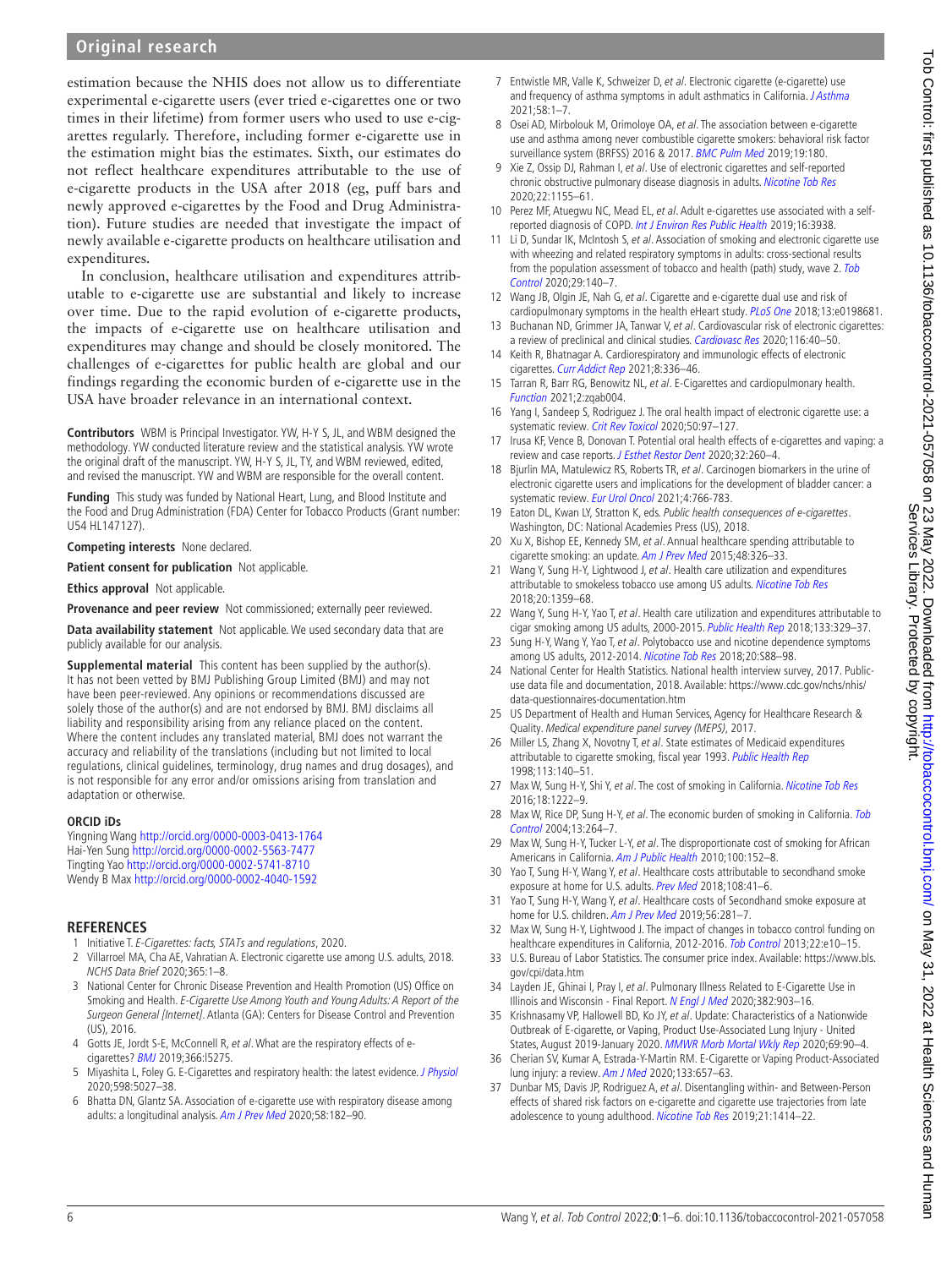#### **Original research**

estimation because the NHIS does not allow us to differentiate experimental e-cigarette users (ever tried e-cigarettes one or two times in their lifetime) from former users who used to use e-cigarettes regularly. Therefore, including former e-cigarette use in the estimation might bias the estimates. Sixth, our estimates do not reflect healthcare expenditures attributable to the use of e-cigarette products in the USA after 2018 (eg, puff bars and newly approved e-cigarettes by the Food and Drug Administration). Future studies are needed that investigate the impact of newly available e-cigarette products on healthcare utilisation and expenditures.

In conclusion, healthcare utilisation and expenditures attributable to e-cigarette use are substantial and likely to increase over time. Due to the rapid evolution of e-cigarette products, the impacts of e-cigarette use on healthcare utilisation and expenditures may change and should be closely monitored. The challenges of e-cigarettes for public health are global and our findings regarding the economic burden of e-cigarette use in the USA have broader relevance in an international context.

**Contributors** WBM is Principal Investigator. YW, H-Y S, JL, and WBM designed the methodology. YW conducted literature review and the statistical analysis. YW wrote the original draft of the manuscript. YW, H-Y S, JL, TY, and WBM reviewed, edited, and revised the manuscript. YW and WBM are responsible for the overall content.

**Funding** This study was funded by National Heart, Lung, and Blood Institute and the Food and Drug Administration (FDA) Center for Tobacco Products (Grant number: U54 HL147127).

**Competing interests** None declared.

**Patient consent for publication** Not applicable.

**Ethics approval** Not applicable.

**Provenance and peer review** Not commissioned; externally peer reviewed.

**Data availability statement** Not applicable. We used secondary data that are publicly available for our analysis.

**Supplemental material** This content has been supplied by the author(s). It has not been vetted by BMJ Publishing Group Limited (BMJ) and may not have been peer-reviewed. Any opinions or recommendations discussed are solely those of the author(s) and are not endorsed by BMJ. BMJ disclaims all liability and responsibility arising from any reliance placed on the content. Where the content includes any translated material, BMJ does not warrant the accuracy and reliability of the translations (including but not limited to local regulations, clinical guidelines, terminology, drug names and drug dosages), and is not responsible for any error and/or omissions arising from translation and adaptation or otherwise.

#### **ORCID iDs**

Yingning Wang <http://orcid.org/0000-0003-0413-1764> Hai-Yen Sung <http://orcid.org/0000-0002-5563-7477> Tingting Yao<http://orcid.org/0000-0002-5741-8710> Wendy B Max<http://orcid.org/0000-0002-4040-1592>

#### **REFERENCES**

- <span id="page-5-0"></span>1 Initiative T. E-Cigarettes: facts, STATs and regulations, 2020.
- <span id="page-5-1"></span>2 Villarroel MA, Cha AE, Vahratian A. Electronic cigarette use among U.S. adults, 2018. NCHS Data Brief 2020;365:1–8.
- <span id="page-5-2"></span>3 National Center for Chronic Disease Prevention and Health Promotion (US) Office on Smoking and Health. E-Cigarette Use Among Youth and Young Adults: A Report of the Surgeon General [Internet]. Atlanta (GA): Centers for Disease Control and Prevention (US), 2016.
- <span id="page-5-3"></span>4 Gotts JE, Jordt S-E, McConnell R, et al. What are the respiratory effects of ecigarettes? [BMJ](http://dx.doi.org/10.1136/bmj.l5275) 2019;366:l5275.
- 5 Miyashita L, Foley G. E-Cigarettes and respiratory health: the latest evidence. [J Physiol](http://dx.doi.org/10.1113/JP279526) 2020;598:5027–38.
- 6 Bhatta DN, Glantz SA. Association of e-cigarette use with respiratory disease among adults: a longitudinal analysis. [Am J Prev Med](http://dx.doi.org/10.1016/j.amepre.2019.07.028) 2020;58:182–90.
- 7 Entwistle MR, Valle K, Schweizer D, et al. Electronic cigarette (e-cigarette) use and frequency of asthma symptoms in adult asthmatics in California. [J Asthma](http://dx.doi.org/10.1080/02770903.2020.1805751) 2021;58:1–7.
- 8 Osei AD, Mirbolouk M, Orimoloye OA, et al. The association between e-cigarette use and asthma among never combustible cigarette smokers: behavioral risk factor surveillance system (BRFSS) 2016 & 2017. [BMC Pulm Med](http://dx.doi.org/10.1186/s12890-019-0950-3) 2019;19:180.
- 9 Xie Z, Ossip DJ, Rahman I, et al. Use of electronic cigarettes and self-reported chronic obstructive pulmonary disease diagnosis in adults. [Nicotine Tob Res](http://dx.doi.org/10.1093/ntr/ntz234) 2020;22:1155–61.
- 10 Perez MF, Atuegwu NC, Mead EL, et al. Adult e-cigarettes use associated with a selfreported diagnosis of COPD. [Int J Environ Res Public Health](http://dx.doi.org/10.3390/ijerph16203938) 2019;16:3938.
- 11 Li D, Sundar IK, McIntosh S, et al. Association of smoking and electronic cigarette use with wheezing and related respiratory symptoms in adults: cross-sectional results from the population assessment of tobacco and health (path) study, wave 2. Tob [Control](http://dx.doi.org/10.1136/tobaccocontrol-2018-054694) 2020;29:140–7.
- 12 Wang JB, Olgin JE, Nah G, et al. Cigarette and e-cigarette dual use and risk of cardiopulmonary symptoms in the health eHeart study. [PLoS One](http://dx.doi.org/10.1371/journal.pone.0198681) 2018;13:e0198681.
- <span id="page-5-4"></span>13 Buchanan ND, Grimmer JA, Tanwar V, et al. Cardiovascular risk of electronic cigarettes: a review of preclinical and clinical studies. [Cardiovasc Res](http://dx.doi.org/10.1093/cvr/cvz256) 2020;116:40-50.
- 14 Keith R, Bhatnagar A. Cardiorespiratory and immunologic effects of electronic cigarettes. [Curr Addict Rep](http://dx.doi.org/10.1007/s40429-021-00359-7) 2021;8:336-46.
- 15 Tarran R, Barr RG, Benowitz NL, et al. E-Cigarettes and cardiopulmonary health. [Function](http://dx.doi.org/10.1093/function/zqab004) 2021;2:zqab004.
- <span id="page-5-5"></span>16 Yang I, Sandeep S, Rodriguez J. The oral health impact of electronic cigarette use: a systematic review. [Crit Rev Toxicol](http://dx.doi.org/10.1080/10408444.2020.1713726) 2020;50:97-127.
- 17 Irusa KF, Vence B, Donovan T. Potential oral health effects of e-cigarettes and vaping: a review and case reports. [J Esthet Restor Dent](http://dx.doi.org/10.1111/jerd.12583) 2020;32:260-4.
- <span id="page-5-6"></span>18 Bjurlin MA, Matulewicz RS, Roberts TR, et al. Carcinogen biomarkers in the urine of electronic cigarette users and implications for the development of bladder cancer: a systematic review. [Eur Urol Oncol](http://dx.doi.org/10.1016/j.euo.2020.02.004) 2021;4:766-783.
- <span id="page-5-7"></span>19 Eaton DL, Kwan LY, Stratton K, eds. Public health consequences of e-cigarettes. Washington, DC: National Academies Press (US), 2018.
- <span id="page-5-8"></span>20 Xu X, Bishop EE, Kennedy SM, et al. Annual healthcare spending attributable to cigarette smoking: an update. [Am J Prev Med](http://dx.doi.org/10.1016/j.amepre.2014.10.012) 2015;48:326-33.
- <span id="page-5-12"></span>21 Wang Y, Sung H-Y, Lightwood J, et al. Health care utilization and expenditures attributable to smokeless tobacco use among US adults. [Nicotine Tob Res](http://dx.doi.org/10.1093/ntr/ntx196) 2018;20:1359–68.
- 22 Wang Y, Sung H-Y, Yao T, et al. Health care utilization and expenditures attributable to cigar smoking among US adults, 2000-2015. [Public Health Rep](http://dx.doi.org/10.1177/0033354918769873) 2018;133:329-37.
- <span id="page-5-15"></span>23 Sung H-Y, Wang Y, Yao T, et al. Polytobacco use and nicotine dependence symptoms among US adults, 2012-2014. [Nicotine Tob Res](http://dx.doi.org/10.1093/ntr/nty050) 2018;20:S88–98.
- <span id="page-5-9"></span>24 National Center for Health Statistics. National health interview survey, 2017. Publicuse data file and documentation, 2018. Available: [https://www.cdc.gov/nchs/nhis/](https://www.cdc.gov/nchs/nhis/data-questionnaires-documentation.htm) [data-questionnaires-documentation.htm](https://www.cdc.gov/nchs/nhis/data-questionnaires-documentation.htm)
- <span id="page-5-10"></span>25 US Department of Health and Human Services, Agency for Healthcare Research & Quality. Medical expenditure panel survey (MEPS), 2017.
- <span id="page-5-11"></span>26 Miller LS, Zhang X, Novotny T, et al. State estimates of Medicaid expenditures attributable to cigarette smoking, fiscal year 1993. [Public Health Rep](http://www.ncbi.nlm.nih.gov/pubmed/9719815) 1998;113:140–51.
- 27 Max W, Sung H-Y, Shi Y, et al. The cost of smoking in California. [Nicotine Tob Res](http://dx.doi.org/10.1093/ntr/ntv123) 2016;18:1222–9.
- 28 Max W, Rice DP, Sung H-Y, et al. The economic burden of smoking in California. Tob [Control](http://dx.doi.org/10.1136/tc.2003.006023) 2004;13:264–7.
- 29 Max W, Sung H-Y, Tucker L-Y, et al. The disproportionate cost of smoking for African Americans in California. [Am J Public Health](http://dx.doi.org/10.2105/AJPH.2008.149542) 2010;100:152–8.
- 30 Yao T, Sung H-Y, Wang Y, et al. Healthcare costs attributable to secondhand smoke exposure at home for U.S. adults. [Prev Med](http://dx.doi.org/10.1016/j.ypmed.2017.12.028) 2018;108:41-6.
- 31 Yao T, Sung H-Y, Wang Y, et al. Healthcare costs of Secondhand smoke exposure at home for U.S. children. [Am J Prev Med](http://dx.doi.org/10.1016/j.amepre.2018.08.013) 2019;56:281-7.
- <span id="page-5-13"></span>32 Max W, Sung H-Y, Lightwood J. The impact of changes in tobacco control funding on healthcare expenditures in California, 2012-2016. [Tob Control](http://dx.doi.org/10.1136/tobaccocontrol-2011-050130) 2013;22:e10-15.
- <span id="page-5-14"></span>33 U.S. Bureau of Labor Statistics. The consumer price index. Available: [https://www.bls.](https://www.bls.gov/cpi/data.htm) [gov/cpi/data.htm](https://www.bls.gov/cpi/data.htm)
- <span id="page-5-16"></span>34 Layden JE, Ghinai I, Pray I, et al. Pulmonary Illness Related to E-Cigarette Use in Illinois and Wisconsin - Final Report. [N Engl J Med](http://dx.doi.org/10.1056/NEJMoa1911614) 2020;382:903-16.
- 35 Krishnasamy VP, Hallowell BD, Ko JY, et al. Update: Characteristics of a Nationwide Outbreak of E-cigarette, or Vaping, Product Use-Associated Lung Injury - United States, August 2019-January 2020. [MMWR Morb Mortal Wkly Rep](http://dx.doi.org/10.15585/mmwr.mm6903e2) 2020;69:90-4.
- 36 Cherian SV, Kumar A, Estrada-Y-Martin RM. E-Cigarette or Vaping Product-Associated lung injury: a review. [Am J Med](http://dx.doi.org/10.1016/j.amjmed.2020.02.004) 2020;133:657–63.
- <span id="page-5-17"></span>37 Dunbar MS, Davis JP, Rodriguez A, et al. Disentangling within- and Between-Person effects of shared risk factors on e-cigarette and cigarette use trajectories from late adolescence to young adulthood. [Nicotine Tob Res](http://dx.doi.org/10.1093/ntr/nty179) 2019;21:1414-22.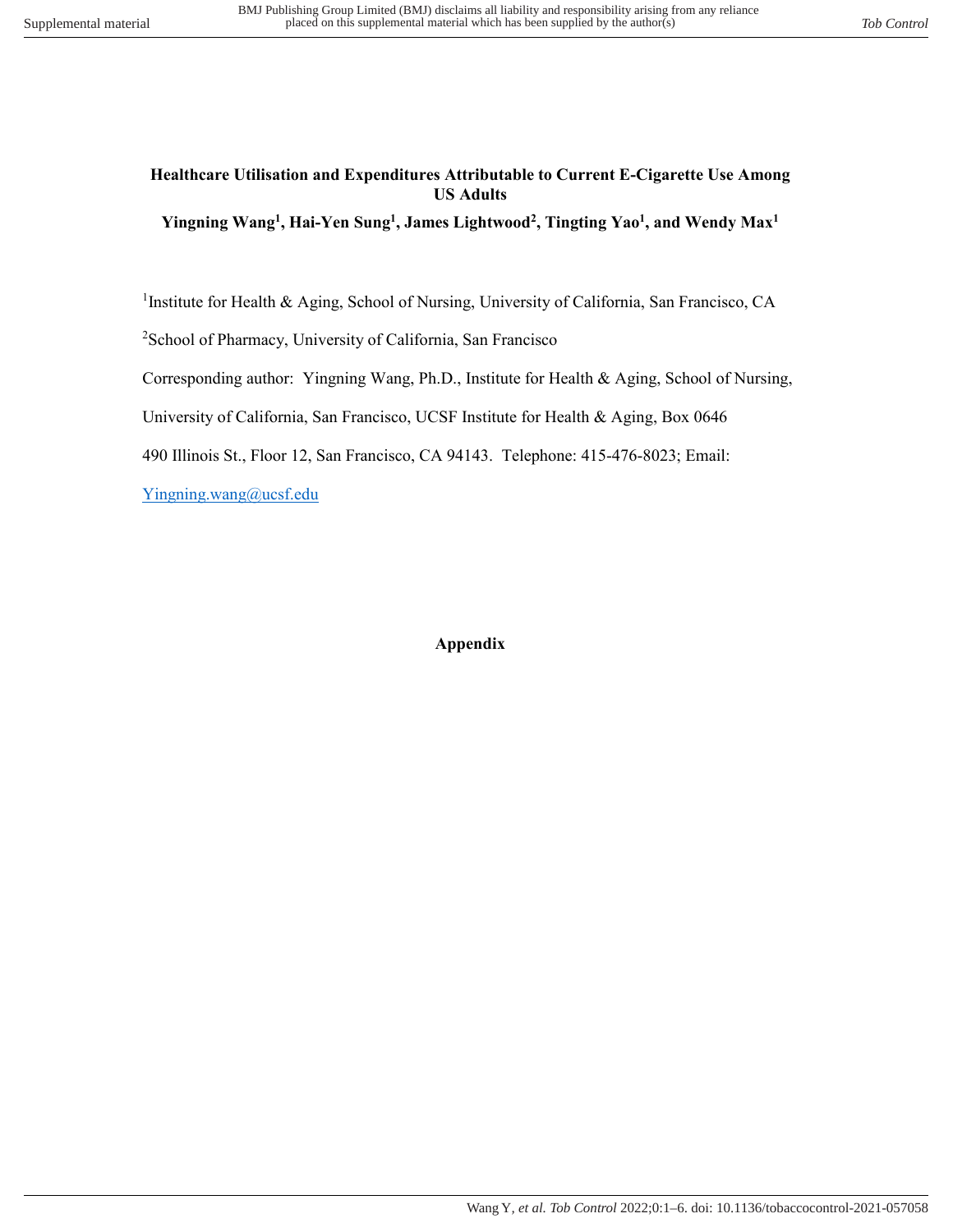## **Healthcare Utilisation and Expenditures Attributable to Current E-Cigarette Use Among US Adults**

**Yingning Wang<sup>1</sup> , Hai-Yen Sung<sup>1</sup> , James Lightwood<sup>2</sup> , Tingting Yao<sup>1</sup> , and Wendy Max<sup>1</sup>**

<sup>1</sup>Institute for Health & Aging, School of Nursing, University of California, San Francisco, CA

<sup>2</sup>School of Pharmacy, University of California, San Francisco

Corresponding author: Yingning Wang, Ph.D., Institute for Health & Aging, School of Nursing,

University of California, San Francisco, UCSF Institute for Health & Aging, Box 0646

490 Illinois St., Floor 12, San Francisco, CA 94143. Telephone: 415-476-8023; Email:

[Yingning.wang@ucsf.edu](mailto:Yingning.wang@ucsf.edu)

#### **Appendix**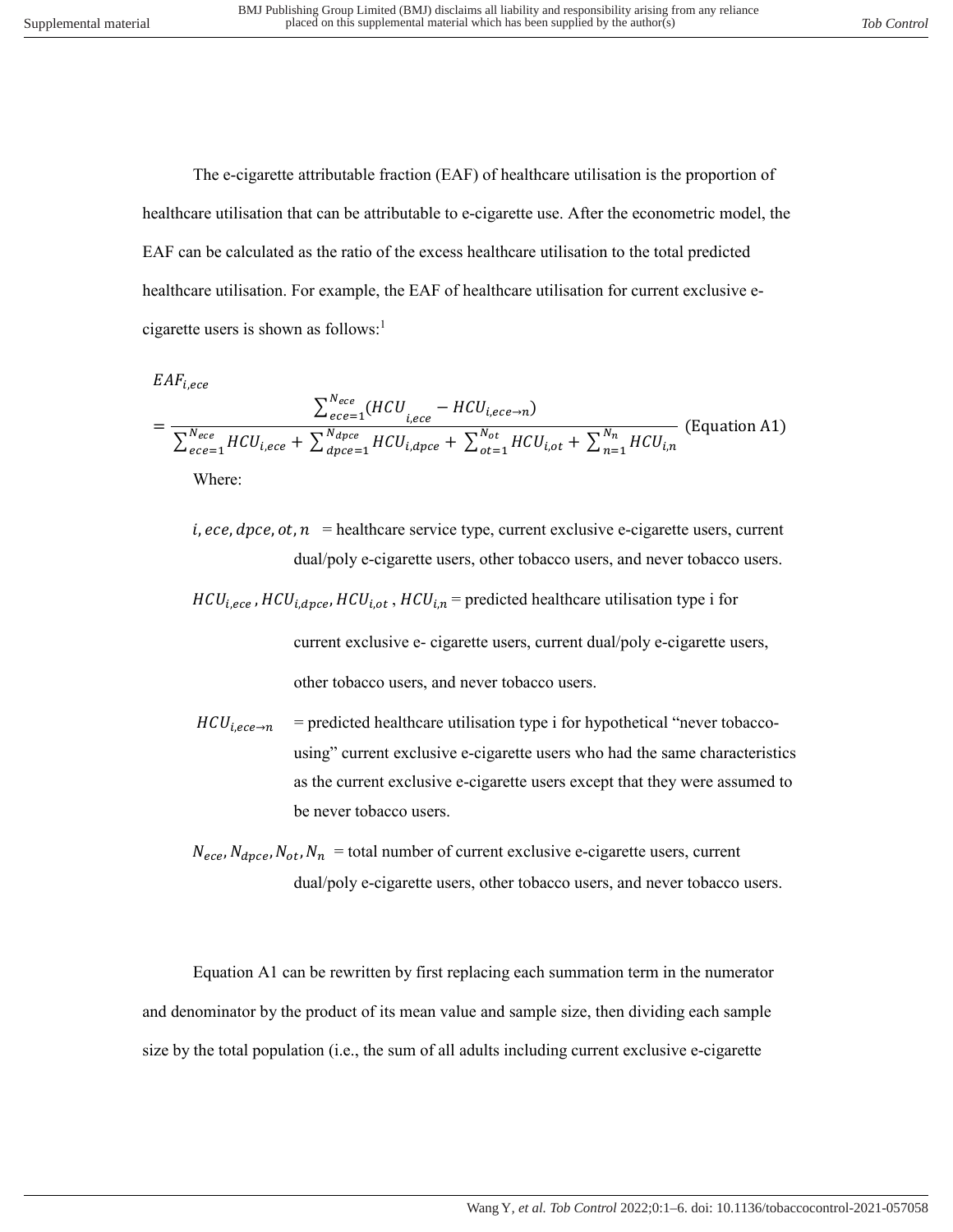The e-cigarette attributable fraction (EAF) of healthcare utilisation is the proportion of healthcare utilisation that can be attributable to e-cigarette use. After the econometric model, the EAF can be calculated as the ratio of the excess healthcare utilisation to the total predicted healthcare utilisation. For example, the EAF of healthcare utilisation for current exclusive ecigarette users is shown as follows:<sup>1</sup>

$$
EAF_{i,ece}
$$

$$
= \frac{\sum_{ece=1}^{N_{ece}} (HCU_{i,ece} - HCU_{i,ece \to n})}{\sum_{ece=1}^{N_{ece}} HCU_{i,ece} + \sum_{dpc e=1}^{N_{dpc}} HCU_{i,spec} + \sum_{ot=1}^{N_{ot}} HCU_{i,ot} + \sum_{n=1}^{N_n} HCU_{i,n}} (Equation A1)
$$
  
Where:

- $i,$  ece,  $\text{d}pce, \text{ot}, n$  = healthcare service type, current exclusive e-cigarette users, current dual/poly e-cigarette users, other tobacco users, and never tobacco users.
- $HCU_{i,ece}$ ,  $HCU_{i, dpce}$ ,  $HCU_{i,ot}$ ,  $HCU_{i,n}$  = predicted healthcare utilisation type i for current exclusive e- cigarette users, current dual/poly e-cigarette users, other tobacco users, and never tobacco users.
- $HCU_{i,ece\rightarrow n}$  = predicted healthcare utilisation type i for hypothetical "never tobaccousing" current exclusive e-cigarette users who had the same characteristics as the current exclusive e-cigarette users except that they were assumed to be never tobacco users.
- $N_{eee}$ ,  $N_{dpec}$ ,  $N_{ot}$ ,  $N_n$  = total number of current exclusive e-cigarette users, current dual/poly e-cigarette users, other tobacco users, and never tobacco users.

Equation A1 can be rewritten by first replacing each summation term in the numerator and denominator by the product of its mean value and sample size, then dividing each sample size by the total population (i.e., the sum of all adults including current exclusive e-cigarette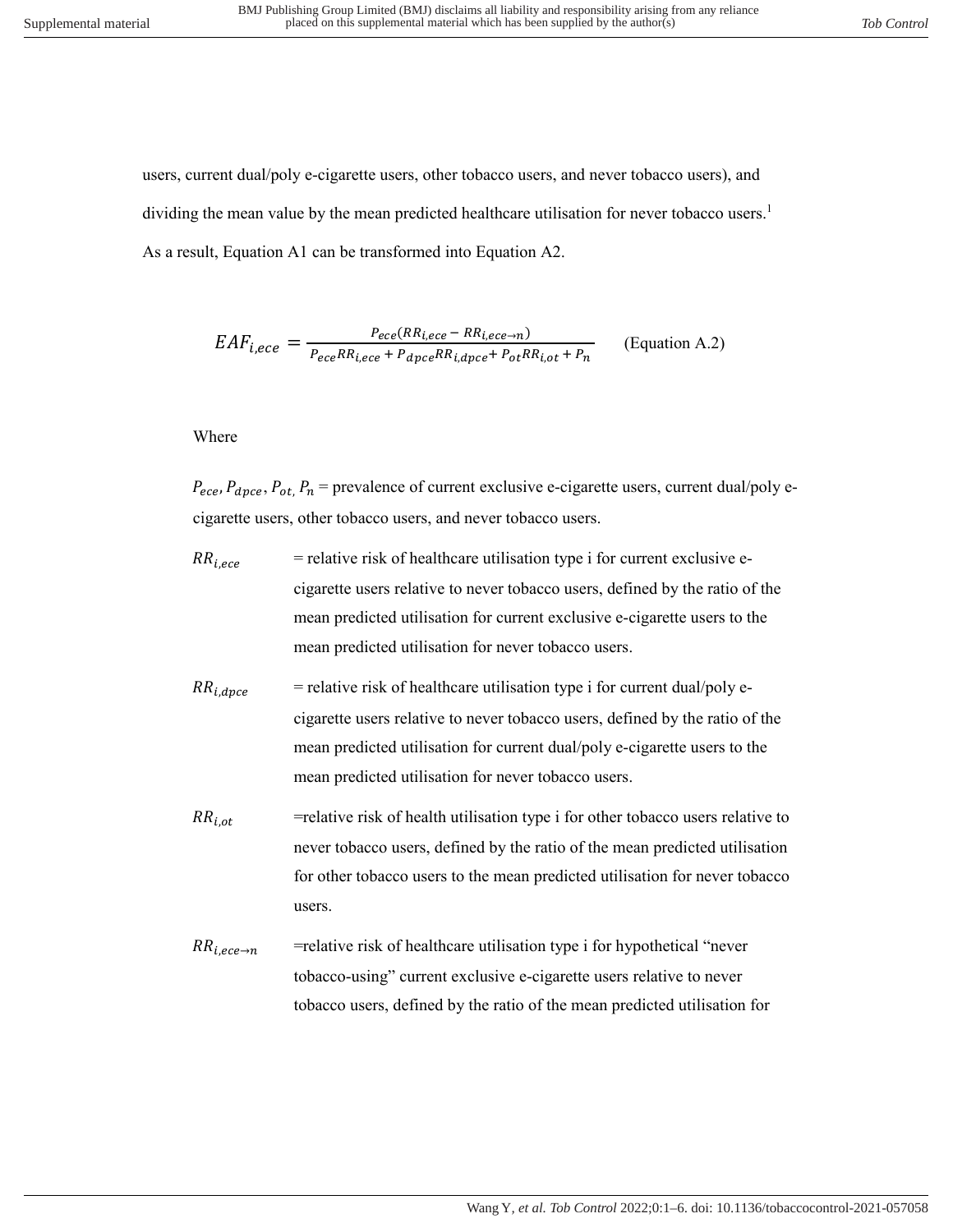users, current dual/poly e-cigarette users, other tobacco users, and never tobacco users), and dividing the mean value by the mean predicted healthcare utilisation for never tobacco users.<sup>1</sup> As a result, Equation A1 can be transformed into Equation A2.

$$
EAF_{i,ece} = \frac{P_{ece}(RR_{i,ece} - RR_{i,ece \to n})}{P_{ece}RR_{i,spec} + P_{dpc}RR_{i,spec} + P_{ot}RR_{i,ot} + P_n}
$$
 (Equation A.2)

#### Where

 $P_{ece}$ ,  $P_{dpc}$ ,  $P_{ot}$ ,  $P_n$  = prevalence of current exclusive e-cigarette users, current dual/poly ecigarette users, other tobacco users, and never tobacco users.

- $RR_{i,ece}$  = relative risk of healthcare utilisation type i for current exclusive ecigarette users relative to never tobacco users, defined by the ratio of the mean predicted utilisation for current exclusive e-cigarette users to the mean predicted utilisation for never tobacco users.
- $RR_{i.dnce}$  = relative risk of healthcare utilisation type i for current dual/poly ecigarette users relative to never tobacco users, defined by the ratio of the mean predicted utilisation for current dual/poly e-cigarette users to the mean predicted utilisation for never tobacco users.
- $RR_{i.o.t}$  = relative risk of health utilisation type i for other tobacco users relative to never tobacco users, defined by the ratio of the mean predicted utilisation for other tobacco users to the mean predicted utilisation for never tobacco users.
- $RR_{i,ece\rightarrow n}$  =relative risk of healthcare utilisation type i for hypothetical "never" tobacco-using" current exclusive e-cigarette users relative to never tobacco users, defined by the ratio of the mean predicted utilisation for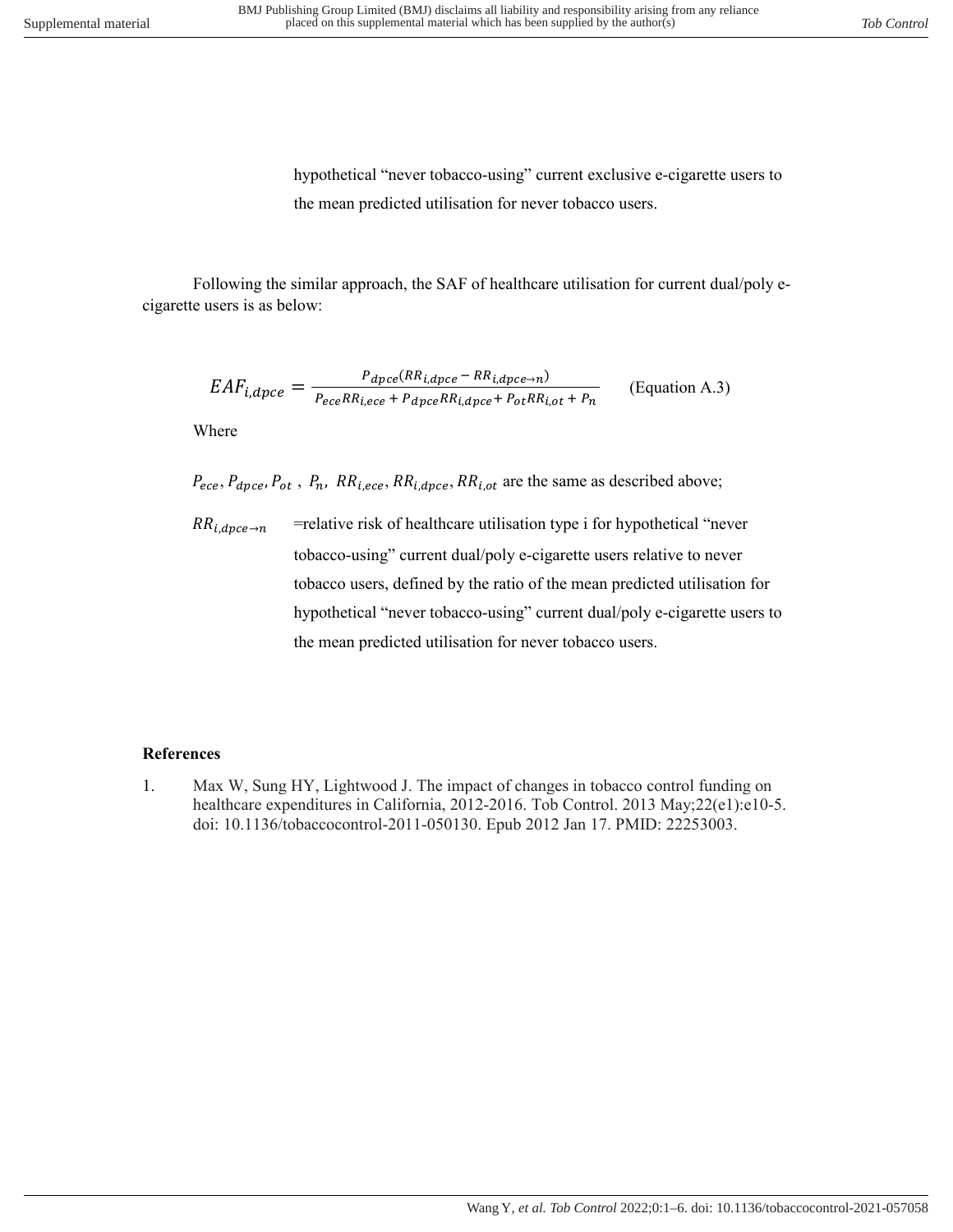hypothetical "never tobacco-using" current exclusive e-cigarette users to the mean predicted utilisation for never tobacco users.

Following the similar approach, the SAF of healthcare utilisation for current dual/poly ecigarette users is as below:

$$
EAF_{i,dpce} = \frac{P_{dpce}(RR_{i,dpce} - RR_{i,dpce \to n})}{P_{ece}RR_{i,ece} + P_{dpce}RR_{i,dpce} + P_{ot}RR_{i,ot} + P_n}
$$
 (Equation A.3)

Where

 $P_{ece}$ ,  $P_{dpce}$ ,  $P_{ot}$ ,  $P_n$ ,  $RR_{i,ece}$ ,  $RR_{i, dpce}$ ,  $RR_{i, ot}$  are the same as described above;

 $RR_{i,dpce \to n}$  =relative risk of healthcare utilisation type i for hypothetical "never tobacco-using" current dual/poly e-cigarette users relative to never tobacco users, defined by the ratio of the mean predicted utilisation for hypothetical "never tobacco-using" current dual/poly e-cigarette users to the mean predicted utilisation for never tobacco users.

## **References**

1. Max W, Sung HY, Lightwood J. The impact of changes in tobacco control funding on healthcare expenditures in California, 2012-2016. Tob Control. 2013 May;22(e1):e10-5. doi: 10.1136/tobaccocontrol-2011-050130. Epub 2012 Jan 17. PMID: 22253003.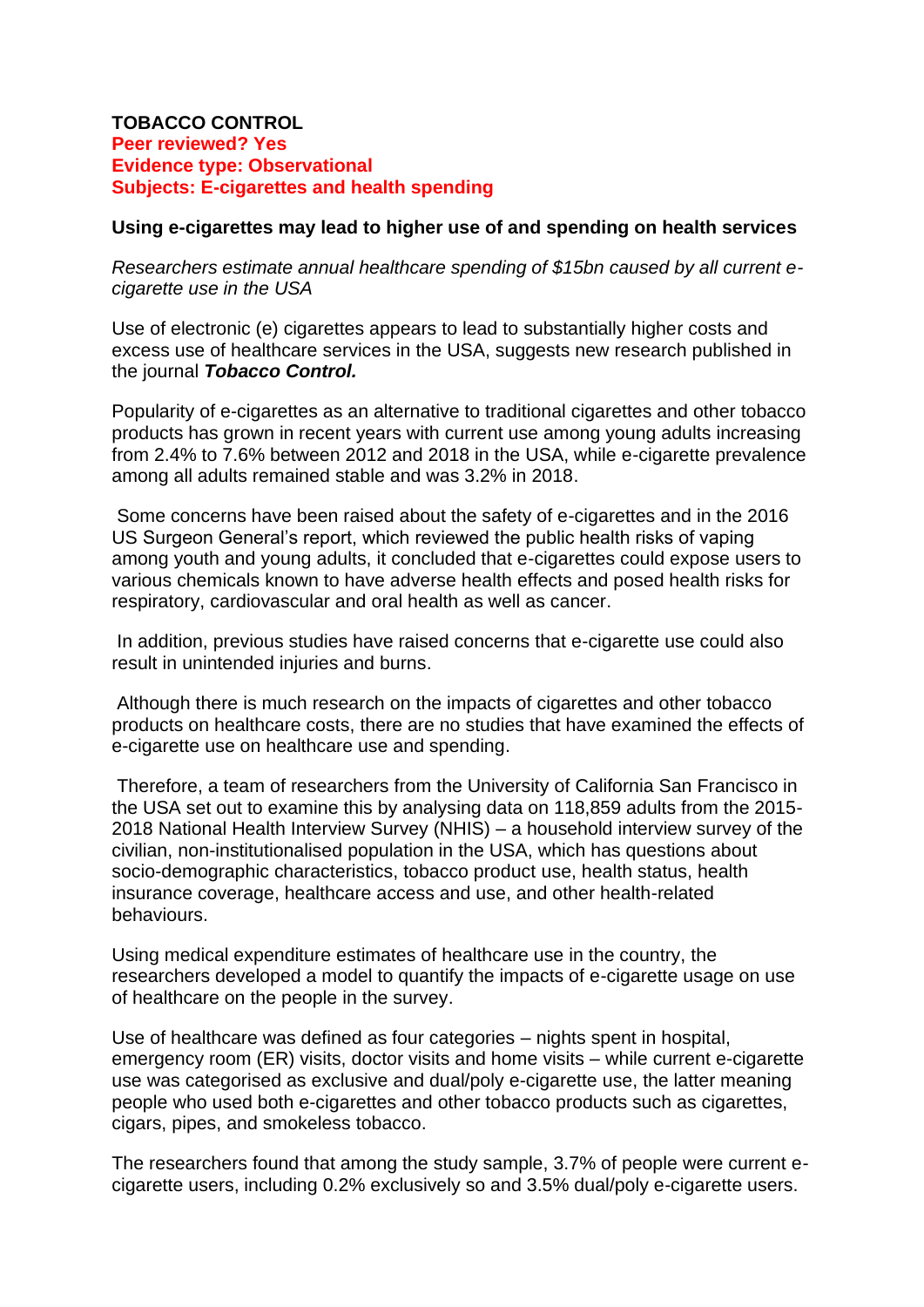## **TOBACCO CONTROL Peer reviewed? Yes Evidence type: Observational Subjects: E-cigarettes and health spending**

## **Using e-cigarettes may lead to higher use of and spending on health services**

*Researchers estimate annual healthcare spending of \$15bn caused by all current ecigarette use in the USA*

Use of electronic (e) cigarettes appears to lead to substantially higher costs and excess use of healthcare services in the USA, suggests new research published in the journal *Tobacco Control.*

Popularity of e-cigarettes as an alternative to traditional cigarettes and other tobacco products has grown in recent years with current use among young adults increasing from 2.4% to 7.6% between 2012 and 2018 in the USA, while e-cigarette prevalence among all adults remained stable and was 3.2% in 2018.

Some concerns have been raised about the safety of e-cigarettes and in the 2016 US Surgeon General's report, which reviewed the public health risks of vaping among youth and young adults, it concluded that e-cigarettes could expose users to various chemicals known to have adverse health effects and posed health risks for respiratory, cardiovascular and oral health as well as cancer.

In addition, previous studies have raised concerns that e-cigarette use could also result in unintended injuries and burns.

Although there is much research on the impacts of cigarettes and other tobacco products on healthcare costs, there are no studies that have examined the effects of e-cigarette use on healthcare use and spending.

Therefore, a team of researchers from the University of California San Francisco in the USA set out to examine this by analysing data on 118,859 adults from the 2015- 2018 National Health Interview Survey (NHIS) – a household interview survey of the civilian, non-institutionalised population in the USA, which has questions about socio-demographic characteristics, tobacco product use, health status, health insurance coverage, healthcare access and use, and other health-related behaviours.

Using medical expenditure estimates of healthcare use in the country, the researchers developed a model to quantify the impacts of e-cigarette usage on use of healthcare on the people in the survey.

Use of healthcare was defined as four categories – nights spent in hospital, emergency room (ER) visits, doctor visits and home visits – while current e-cigarette use was categorised as exclusive and dual/poly e-cigarette use, the latter meaning people who used both e-cigarettes and other tobacco products such as cigarettes, cigars, pipes, and smokeless tobacco.

The researchers found that among the study sample, 3.7% of people were current ecigarette users, including 0.2% exclusively so and 3.5% dual/poly e-cigarette users.